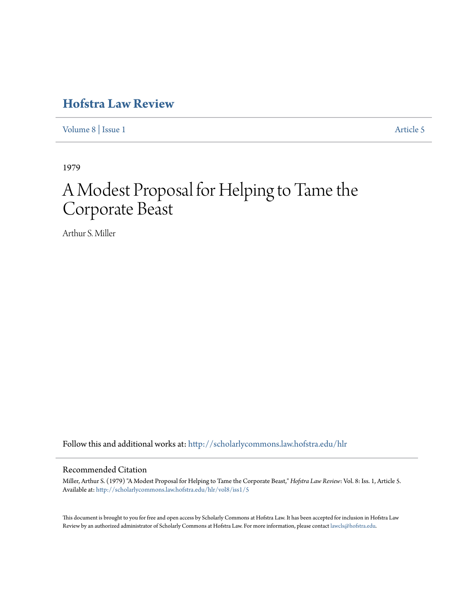# **[Hofstra Law Review](http://scholarlycommons.law.hofstra.edu/hlr?utm_source=scholarlycommons.law.hofstra.edu%2Fhlr%2Fvol8%2Fiss1%2F5&utm_medium=PDF&utm_campaign=PDFCoverPages)**

[Volume 8](http://scholarlycommons.law.hofstra.edu/hlr/vol8?utm_source=scholarlycommons.law.hofstra.edu%2Fhlr%2Fvol8%2Fiss1%2F5&utm_medium=PDF&utm_campaign=PDFCoverPages) | [Issue 1](http://scholarlycommons.law.hofstra.edu/hlr/vol8/iss1?utm_source=scholarlycommons.law.hofstra.edu%2Fhlr%2Fvol8%2Fiss1%2F5&utm_medium=PDF&utm_campaign=PDFCoverPages) [Article 5](http://scholarlycommons.law.hofstra.edu/hlr/vol8/iss1/5?utm_source=scholarlycommons.law.hofstra.edu%2Fhlr%2Fvol8%2Fiss1%2F5&utm_medium=PDF&utm_campaign=PDFCoverPages)

1979

# A Modest Proposal for Helping to Tame the Corporate Beast

Arthur S. Miller

Follow this and additional works at: [http://scholarlycommons.law.hofstra.edu/hlr](http://scholarlycommons.law.hofstra.edu/hlr?utm_source=scholarlycommons.law.hofstra.edu%2Fhlr%2Fvol8%2Fiss1%2F5&utm_medium=PDF&utm_campaign=PDFCoverPages)

## Recommended Citation

Miller, Arthur S. (1979) "A Modest Proposal for Helping to Tame the Corporate Beast," *Hofstra Law Review*: Vol. 8: Iss. 1, Article 5. Available at: [http://scholarlycommons.law.hofstra.edu/hlr/vol8/iss1/5](http://scholarlycommons.law.hofstra.edu/hlr/vol8/iss1/5?utm_source=scholarlycommons.law.hofstra.edu%2Fhlr%2Fvol8%2Fiss1%2F5&utm_medium=PDF&utm_campaign=PDFCoverPages)

This document is brought to you for free and open access by Scholarly Commons at Hofstra Law. It has been accepted for inclusion in Hofstra Law Review by an authorized administrator of Scholarly Commons at Hofstra Law. For more information, please contact [lawcls@hofstra.edu](mailto:lawcls@hofstra.edu).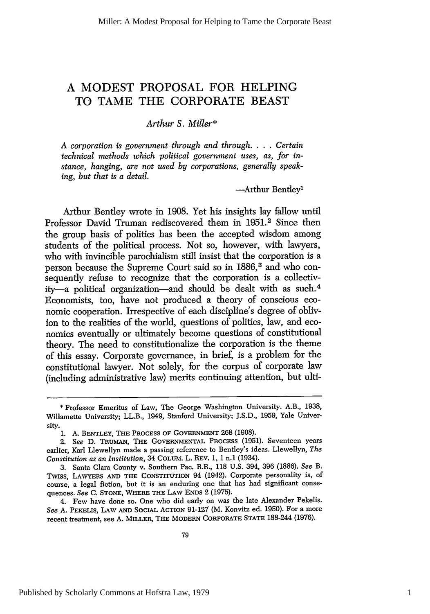## **A MODEST** PROPOSAL FOR HELPING TO **TAME** THE CORPORATE **BEAST**

#### *Arthur S. Miller\**

*A corporation is government through and through.* . **.** . *Certain technical methods which political government uses, as, for instance, hanging, are not used by corporations, generally speaking, but that is a detail.*

-Arthur Bentley'

Arthur Bentley wrote in 1908. Yet his insights lay fallow until Professor David Truman rediscovered them in 1951.<sup>2</sup> Since then the group basis of politics has been the accepted wisdom among students of the political process. Not so, however, with lawyers, who with invincible parochialism still insist that the corporation is a person because the Supreme Court said so in 1886,<sup>3</sup> and who consequently refuse to recognize that the corporation is a collectivity-a political organization-and should be dealt with as such.<sup>4</sup> Economists, too, have not produced a theory of conscious economic cooperation. Irrespective of each discipline's degree of oblivion to the realities of the world, questions of politics, law, and economics eventually or ultimately become questions of constitutional theory. The need to constitutionalize the corporation is the theme of this essay. Corporate governance, in brief, is a problem for the constitutional lawyer. Not solely, for the corpus of corporate law (including administrative law) merits continuing attention, but ulti-

4. Few have done so. One who did early on was the late Alexander Pekelis. *See* A. PEKELIS, **LAW AND** SOCIAL **ACTION** 91-127 (M. Konvitz ed. 1950). For a more recent treatment, see A. MILLER, **THE** MODERN **COm'ORATE STATE** 188-244 (1976).

<sup>\*</sup> Professor Emeritus of Law, The George Washington University. A.B., 1938, Willamette University; LL.B., 1949, Stanford University; J.S.D., 1959, Yale University.

<sup>1.</sup> A. **BENTLEY, THE PROCESS** OF GOVERNMENT **268 (1908).**

<sup>2.</sup> *See* D. TRUMAN, **THE GOVERNMENTAL PROCESS** (1951). Seventeen years earlier, Karl Llewellyn made a passing reference to Bentley's ideas. Llewellyn, *The Constitution as an Institution,* 34 COLUM. L. REV. 1, 1 n.1 (1934).

<sup>3.</sup> Santa Clara County v. Southern Pac. R.R., 118 U.S. 394, 396 (1886). *See B.* Twiss, LAWYERS **AND THE** CONSTrrUTION 94 (1942). Corporate personality is, of course, a legal fiction, but it is an enduring one that has had significant consequences. *See* C. **STONE, WHERE THE LAW** ENDS 2 (1975).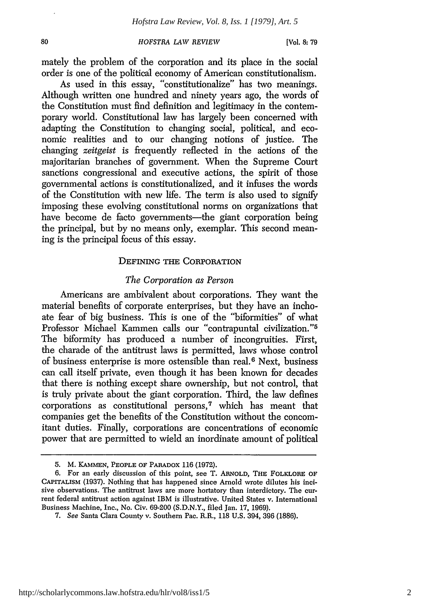mately the problem of the corporation and its place in the social order is one of the political economy of American constitutionalism.

As used in this essay, "constitutionalize" has two meanings. Although written one hundred and ninety years ago, the words of the Constitution must find definition and legitimacy in the contemporary world. Constitutional law has largely been concerned with adapting the Constitution to changing social, political, and economic realities and to our changing notions of justice. The changing *zeitgeist* is frequently reflected in the actions of the majoritarian branches of government. When the Supreme Court sanctions congressional and executive actions, the spirit of those governmental actions is constitutionalized, and it infuses the words of the Constitution with new life. The term is also used to signify imposing these evolving constitutional norms on organizations that have become de facto governments—the giant corporation being the principal, but by no means only, exemplar. This second meaning is the principal focus of this essay.

#### DEFINING THE CORPORATION

#### *The Corporation as Person*

Americans are ambivalent about corporations. They want the material benefits of corporate enterprises, but they have an inchoate fear of big business. This is one of the "biformities" of what Professor Michael Kammen calls our "contrapuntal civilization."<sup>5</sup> The biformity has produced a number of incongruities. First, the charade of the antitrust laws is permitted, laws whose control of business enterprise is more ostensible than real. 6 Next, business can call itself private, even though it has been known for decades that there is nothing except share ownership, but not control, that is truly private about the giant corporation. Third, the law defines corporations as constitutional persons,<sup>7</sup> which has meant that companies get the benefits of the Constitution without the concomitant duties. Finally, corporations are concentrations of economic power that are permitted to wield an inordinate amount of political

<sup>5.</sup> M. KAMMEN, PEOPLE OF PARADOX 116 (1972).

**<sup>6.</sup>** For an early discussion of this point, see T. ARNOLD, **THE** FOLKLORE **OF** CAPiTALISM **(1937).** Nothing that has happened since Arnold wrote dilutes his incisive observations. The antitrust laws are more hortatory than interdictory. The current federal antitrust action against IBM is illustrative. United States v. International Business Machine, Inc., No. Civ. 69-200 (S.D.N.Y., filed Jan. 17, 1969).

<sup>7.</sup> *See* Santa Clara County v. Southern Pac. R.R., 118 U.S. 394, 396 (1886).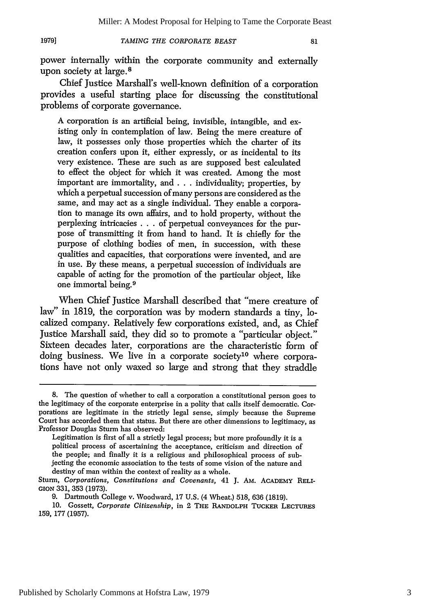power internally within the corporate community and externally upon society at large.<sup>8</sup>

Chief Justice Marshall's well-known definition of a corporation provides a useful starting place for discussing the constitutional problems of corporate governance.

A corporation is an artificial being, invisible, intangible, and existing only in contemplation of law. Being the mere creature of law, it possesses only those properties which the charter of its creation confers upon it, either expressly, or as incidental to its very existence. These are such as are supposed best calculated to effect the object for which it was created. Among the most important are immortality, and **...** individuality; properties, by which a perpetual succession of many persons are considered as the same, and may act as a single individual. They enable a corporation to manage its own affairs, and to hold property, without the perplexing intricacies . **..** of perpetual conveyances for the purpose of transmitting it from hand to hand. It is chiefly for the purpose of clothing bodies of men, in succession, with these qualities and capacities, that corporations were invented, and are in use. By these means, a perpetual succession of individuals are capable of acting for the promotion of the particular object, like one immortal being. <sup>9</sup>

When Chief Justice Marshall described that "mere creature of law" in 1819, the corporation was by modern standards a tiny, localized company. Relatively few corporations existed, and, as Chief Justice Marshall said, they did so to promote a "particular object." Sixteen decades later, corporations are the characteristic form of doing business. We live in a corporate society<sup>10</sup> where corporations have not only waxed so large and strong that they straddle

<sup>8.</sup> The question of whether to call a corporation a constitutional person goes to the legitimacy of the corporate enterprise in a polity that calls itself democratic. Corporations are legitimate in the strictly legal sense, simply because the Supreme Court has accorded them that status. But there are other dimensions to legitimacy, as Professor Douglas Sturm has observed:

Legitimation is first of all a strictly legal process; but more profoundly it is a political process of ascertaining the acceptance, criticism and direction of the people; and finally it is a religious and philosophical process of subjecting the economic association to the tests of some vision of the nature and destiny of man within the context of reality as a whole.

Sturm, *Corporations, Constitutions and Covenants,* 41 J. AM. ACADEMY RELI-**GION** 331, 353 (1973).

<sup>9.</sup> Dartmouth College v. Woodward, 17 U.S. (4 Wheat.) 518, 636 (1819).

<sup>10.</sup> Gossett, *Corporate Citizenship,* in 2 **THE** RANDOLPH **TUCKER LECTURES** 159, 177 (1957).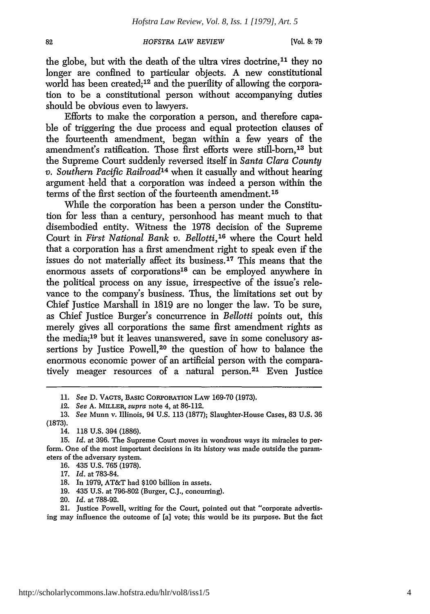the globe, but with the death of the ultra vires doctrine,<sup>11</sup> they no longer are confined to particular objects. A new constitutional world has been created;<sup>12</sup> and the puerility of allowing the corporation to be a constitutional person without accompanying duties should be obvious even to lawyers.

Efforts to make the corporation a person, and therefore capable of triggering the due process and equal protection clauses of the fourteenth amendment, began within a few years of the amendment's ratification. Those first efforts were still-born,<sup>13</sup> but the Supreme Court suddenly reversed itself in *Santa Clara County v. Southern Pacific Railroad*<sup>14</sup> when it casually and without hearing argument held that a corporation was indeed a person within the terms of the first section of the fourteenth amendment.15

While the corporation has been a person under the Constitution for less than a century, personhood has meant much to that disembodied entity. Witness the 1978 decision of the Supreme Court in *First National Bank v. Bellotti*,<sup>16</sup> where the Court held that a corporation has a first amendment right to speak even if the issues do not materially affect its business. 17 This means that the enormous assets of corporations<sup>18</sup> can be employed anywhere in the political process on any issue, irrespective of the issue's relevance to the company's business. Thus, the limitations set out by Chief Justice Marshall in 1819 are no longer the law. To be sure, as Chief Justice Burger's concurrence in *Bellotti* points out, this merely gives all corporations the same first amendment rights as the media;19 but it leaves unanswered, save in some conclusory assertions by Justice Powell,<sup>20</sup> the question of how to balance the enormous economic power of an artificial person with the comparatively meager resources of a natural person.<sup>21</sup> Even Justice

- 19. 435 U.S. at 796-802 (Burger, C.J., concurring).
- 20. *Id.* at 788-92.

21. Justice Powell, writing for the Court, pointed out that "corporate advertising may influence the outcome of [a] vote; this would be its purpose. But the fact

**<sup>11.</sup>** *See* **D.** VAGTS, BASIC CORPORATION LAW **169-70 (1973).**

<sup>12.</sup> *See* **A.** MILLER, supra note 4, at **86-112.**

**<sup>13.</sup>** *See* Munn v. Illinois, 94 **U.S. 113 (1877);** Slaughter-House Cases, 83 U.S. 36 (1873).

<sup>14. 118</sup> U.S. 394 (1886).

<sup>15.</sup> *Id.* at 396. The Supreme Court moves in wondrous ways its miracles to perform. One of the most important decisions in its history was made outside the parameters of the adversary system.

<sup>16. 435</sup> U.S. 765 (1978).

<sup>17.</sup> *Id.* at 783-84.

<sup>18.</sup> In 1979, AT&T had \$100 billion in assets.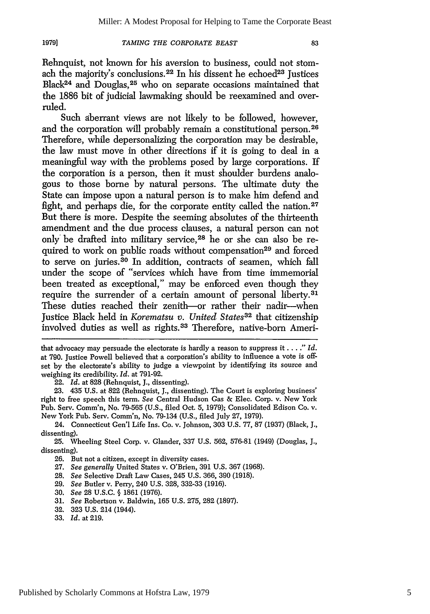#### 1979]

#### *TAMING THE CORPORATE BEAST*

Rehnquist, not known for his aversion to business, could not stomach the majority's conclusions.<sup>22</sup> In his dissent he echoed<sup>23</sup> Justices Black24 and Douglas,25 who on separate occasions maintained that the 1886 bit of judicial lawmaking should be reexamined and overruled.

Such aberrant views are not likely to be followed, however, and the corporation will probably remain a constitutional person.<sup>26</sup> Therefore, while depersonalizing the corporation may be desirable, the law must move in other directions if it is going to deal in a meaningful way with the problems posed by large corporations. If the corporation is a person, then it must shoulder burdens analogous to those borne by natural persons. The ultimate duty the State can impose upon a natural person is to make him defend and fight, and perhaps die, for the corporate entity called the nation. $27$ But there is more. Despite the seeming absolutes of the thirteenth amendment and the due process clauses, a natural person can not only be drafted into military service,<sup>28</sup> he or she can also be required to work on public roads without compensation<sup>29</sup> and forced to serve on juries.30 In addition, contracts of seamen, which fall under the scope of "services which have from time immemorial been treated as exceptional," may be enforced even though they require the surrender of a certain amount of personal liberty.<sup>31</sup> These duties reached their zenith-or rather their nadir--when Justice Black held in *Korematsu v. United States32* that citizenship involved duties as well as rights. 33 Therefore, native-born Ameri-

23. 435 U.S. at 822 (Rehnquist, J., dissenting). The Court is exploring business' right to free speech this term. *See* Central Hudson Gas & Elec. Corp. v. New York Pub. Serv. Comm'n, No. 79-565 (U.S., filed Oct. 5, 1979); Consolidated Edison Co. v. New York Pub. Serv. Comm'n, No. 79-134 (U.S., filed July **27,** 1979).

30. *See* 28 U.S.C. **§** 1861 (1976).

that advocacy may persuade the electorate is hardly a reason to suppress it **....** *Id.* at 790. Justice Powell believed that a corporation's ability to influence a vote is offset by the electorate's ability to judge a viewpoint by identifying its source and weighing its credibility. *Id.* at 791-92.

<sup>22.</sup> *Id.* at 828 (Rehnquist, J., dissenting).

<sup>24.</sup> Connecticut Gen'l Life Ins. Co. v. Johnson, 303 U.S. 77, 87 (1937) (Black, J., dissenting).

<sup>25.</sup> Wheeling Steel Corp. v. Glander, 337 U.S. 562, 576-81 (1949) (Douglas, J., dissenting).

<sup>26.</sup> But not a citizen, except in diversity cases.

<sup>27.</sup> *See generally* United States v. O'Brien, 391 U.S. 367 (1968).

<sup>28.</sup> *See* Selective Draft Law Cases, 245 U.S. 366, 390 (1918).

<sup>29.</sup> *See* Butler v. Perry, 240 U.S. 328, 332-33 (1916).

<sup>31.</sup> *See* Robertson v. Baldwin, 165 U.S. 275, 282 (1897).

<sup>32. 323</sup> U.S. 214 (1944).

<sup>33.</sup> *Id.* at 219.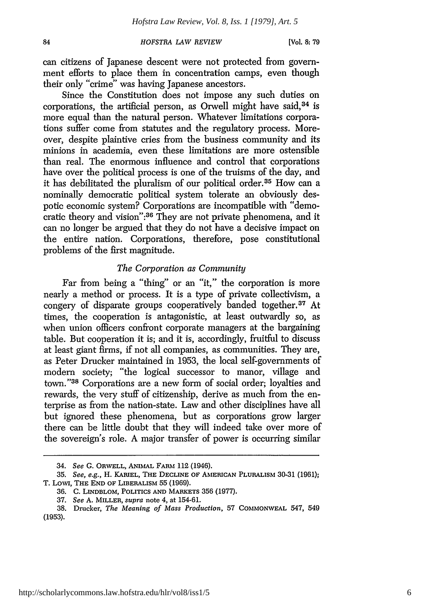can citizens of Japanese descent were not protected from government efforts to place them in concentration camps, even though their only "crime" was having Japanese ancestors.

Since the Constitution does not impose any such duties on corporations, the artificial person, as Orwell might have said, 34 is more equal than the natural person. Whatever limitations corporations suffer come from statutes and the regulatory process. Moreover, despite plaintive cries from the business community and its minions in academia, even these limitations are more ostensible than real. The enormous influence and control that corporations have over the political process is one of the truisms of the day, and it has debilitated the pluralism of our political order. 35 How can a nominally democratic political system tolerate an obviously despotic economic system? Corporations are incompatible with "democratic theory and vision":<sup>36</sup> They are not private phenomena, and it can no longer be argued that they do not have a decisive impact on the entire nation. Corporations, therefore, pose constitutional problems of the first magnitude.

#### *The Corporation as Community*

Far from being a "thing" or an "it," the corporation is more nearly a method or process. It is a type of private collectivism, a congery of disparate groups cooperatively banded together.<sup>37</sup> At times, the cooperation is antagonistic, at least outwardly so, as when union officers confront corporate managers at the bargaining table. But cooperation it is; and it is, accordingly, fruitful to discuss at least giant firms, if not all companies, as communities. They are, as Peter Drucker maintained in 1953, the local self-governments of modem society; "the logical successor to manor, village and town."38 Corporations are a new form of social order; loyalties and rewards, the very stuff of citizenship, derive as much from the enterprise as from the nation-state. Law and other disciplines have all but ignored these phenomena, but as corporations grow larger there can be little doubt that they will indeed take over more of the sovereign's role. A major transfer of power is occurring similar

<sup>34.</sup> *See* G. ORWELL, ANIMAL FARI 112 (1946).

<sup>35.</sup> See, e.g., H. **KARIEL,** THE **DECLINE** OF **AMERICAN** PLURALISM 30-31 (1961); T. LowI, THE **END** OF LIBERALISM 55 (1969).

<sup>36.</sup> C. LINDBLOM, POLITICS **AND** MARKETS 356 (1977).

<sup>37.</sup> *See* A. MILLER, *supra* note 4, at 154-61.

<sup>38.</sup> Drucker, *The Meaning of Mass Production,* 57 **COMMONVEAL** 547, 549 (1953).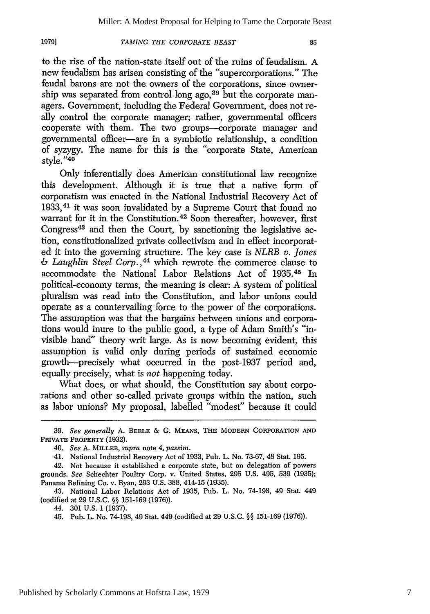to the rise of the nation-state itself out of the ruins of feudalism. A new feudalism has arisen consisting of the "supercorporations." The feudal barons are not the owners of the corporations, since ownership was separated from control long ago,  $39$  but the corporate managers. Government, including the Federal Government, does not really control the corporate manager; rather, governmental officers cooperate with them. The two groups--corporate manager and governmental officer-are in a symbiotic relationship, a condition of syzygy. The name for this is the "corporate State, American style."40

Only inferentially does American constitutional law recognize this development. Although it is true that a native form of corporatism was enacted in the National Industrial Recovery Act of 1933,41 it was soon invalidated by a Supreme Court that found no warrant for it in the Constitution.<sup>42</sup> Soon thereafter, however, first Congress<sup>43</sup> and then the Court, by sanctioning the legislative action, constitutionalized private collectivism and in effect incorporated it into the governing structure. The key case is *NLRB v. Jones* & *Laughlin Steel Corp. ,44* which rewrote the commerce clause to accommodate the National Labor Relations Act of **1935. <sup>4</sup> <sup>5</sup>**In political-economy terms, the meaning is clear: A system of political pluralism was read into the Constitution, and labor unions could operate as a countervailing force to the power of the corporations. The assumption was that the bargains between unions and corporations would inure to the public good, a type of Adam Smith's "invisible hand" theory writ large. As is now becoming evident, this assumption is valid only during periods of sustained economic growth-precisely what occurred in the post-1937 period and, equally precisely, what is *not* happening today.

What does, or what should, the Constitution say about corporations and other so-called private groups within the nation, such as labor unions? My proposal, labelled "modest" because it could

<sup>39.</sup> *See generally* A. **BERLE & G.** MEANS, **THE** MODERN CORPORATION **AND** PRIVATE PROPERTY (1932).

<sup>40.</sup> *See* A. MILLER, *supra* note 4, *passim.*

<sup>41.</sup> National Industrial Recovery Act of 1933, Pub. L. No. 73-67, 48 Stat. 195.

<sup>42.</sup> Not because it established a corporate state, but on delegation of powers grounds. *See* Schechter Poultry Corp. v. United States, 295 U.S. 495, 539 (1935); Panama Refining Co. v. Ryan, 293 U.S. 388, 414-15 (1935).

<sup>43.</sup> National Labor Relations Act of 1935, Pub. L. No. 74-198, 49 Stat. 449 (codified at 29 U.S.C. **§§** 151-169 (1976)).

<sup>44. 301</sup> U.S. 1 (1937).

<sup>45.</sup> Pub. L. No. 74-198, 49 Stat. 449 (codified at 29 U.S.C. §§ 151-169 (1976)).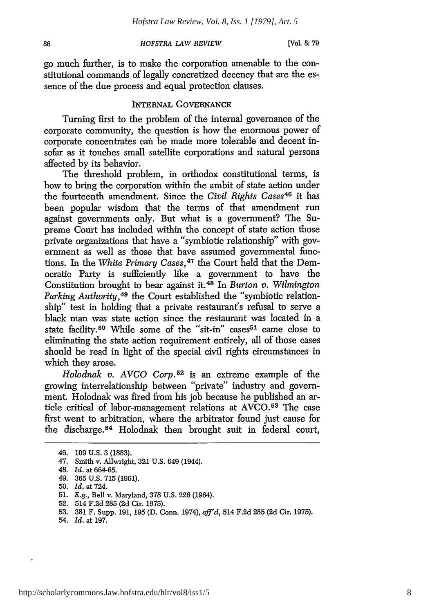go much further, is to make the corporation amenable to the constitutional commands of legally concretized decency that are the essence of the due process and equal protection clauses.

## **INTERNAL** GOVERNANCE

Turning first to the problem of the internal governance of the corporate community, the question is how the enormous power of corporate concentrates can be made more tolerable and decent insofar as it touches small satellite corporations and natural persons affected by its behavior.

The threshold problem, in orthodox constitutional terms, is how to bring the corporation within the ambit of state action under the fourteenth amendment. Since the *Civil Rights Cases46* it has been popular wisdom that the terms of that amendment run against governments only. But what is a government? The Supreme Court has included within the concept of state action those private organizations that have a "symbiotic relationship" with government as well as those that have assumed governmental functions. In the *White Primary Cases,47* the Court held that the Democratic Party is sufficiently like a government to have the Constitution brought to bear against **it.48** In *Burton v. Wilmington Parking Authority*,<sup>49</sup> the Court established the "symbiotic relationship" test in holding that a private restaurant's refusal to serve a black man was state action since the restaurant was located in a state facility.<sup>50</sup> While some of the "sit-in" cases<sup>51</sup> came close to eliminating the state action requirement entirely, all of those cases should be read in light of the special civil rights circumstances in which they arose.

*Holodnak v. AVCO Corp.52* is an extreme example of the growing interrelationship between "private" industry and government. Holodnak was fired from his job because he published an article critical of labor-management relations at AVCO. 53 The case first went to arbitration, where the arbitrator found just cause for the discharge. 54 Holodnak then brought suit in federal court,

86

- 51. E.g., Bell v. Maryland, 378 U.S. 226 (1964).
- 52. 514 F.2d 285 (2d Cir. 1975).
- 53. 381 F. Supp. 191, 195 (D. Conn. 1974), *aff'd,* 514 F.2d 285 (2d Cir. 1975).
- 54. *Id.* at 197.

<sup>46. 109</sup> U.S. 3 (1883).

<sup>47.</sup> Smith v. Allwright, 321 U.S. 649 (1944).

<sup>48.</sup> *Id.* at 664-65.

<sup>49. 365</sup> U.S. 715 (1961).

<sup>50.</sup> *Id.* at 724.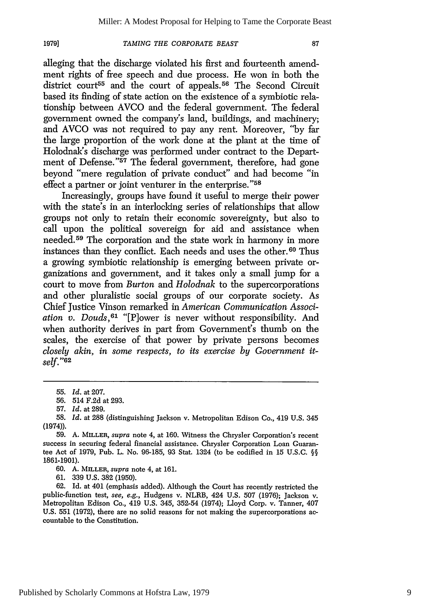alleging that the discharge violated his first and fourteenth amendment rights of free speech and due process. He won in both the district court<sup>55</sup> and the court of appeals.<sup>56</sup> The Second Circuit based its finding of state action on the existence of a symbiotic relationship between AVCO and the federal government. The federal government owned the company's land, buildings, and machinery; and AVCO was not required to pay any rent. Moreover, **"by** far the large proportion of the work done at the plant at the time of Holodnak's discharge was performed under contract to the Department of Defense."<sup>57</sup> The federal government, therefore, had gone beyond "mere regulation of private conduct" and had become "in effect a partner or joint venturer in the enterprise."<sup>58</sup>

Increasingly, groups have found it useful to merge their power with the state's in an interlocking series of relationships that allow groups not only to retain their economic sovereignty, but also to call upon the political sovereign for aid and assistance when needed.59 The corporation and the state work in harmony in more instances than they conflict. Each needs and uses the other.<sup>60</sup> Thus a growing symbiotic relationship is emerging between private organizations and government, and it takes only a small jump for a court to move from *Burton* and *Holodnak* to the supercorporations and other pluralistic social groups of our corporate society. As Chief Justice Vinson remarked in *American Communication Association v. Douds,61* "[P]ower is never without responsibility. And when authority derives in part from Government's thumb on the scales, the exercise of that power by private persons becomes *closely akin, in some respects, to its exercise by Government itself.* **"<sup>6</sup> <sup>2</sup>**

62. Id. at 401 (emphasis added). Although the Court has recently restricted the public-function test, *see, e.g.,* Hudgens v. NLRB, 424 U.S. 507 (1976); Jackson v. Metropolitan Edison Co., 419 U.S. 345, 352-54 (1974); Lloyd Corp. v. Tanner, 407 U.S. 551 (1972), there are no solid reasons for not making the supercorporations accountable to the Constitution.

**<sup>55.</sup>** *Id.* at **207.**

<sup>56. 514</sup> F.2d at 293.

<sup>57.</sup> *Id.* at 289.

<sup>58.</sup> *Id.* at 288 (distinguishing Jackson v. Metropolitan Edison Co., 419 U.S. 345 (1974)).

**<sup>59.</sup> A. MILLER,** *supra* note 4, at 160. Witness the Chrysler Corporation's recent success in securing federal financial assistance. Chrysler Corporation Loan Guarantee Act of 1979, Pub. L. No. 96-185, 93 Stat. 1324 (to be codified in 15 U.S.C. §§ 1861-1901).

<sup>60.</sup> A. MILLER, *supra* note 4, at 161.

<sup>61. 339</sup> U.S. 382 (1950).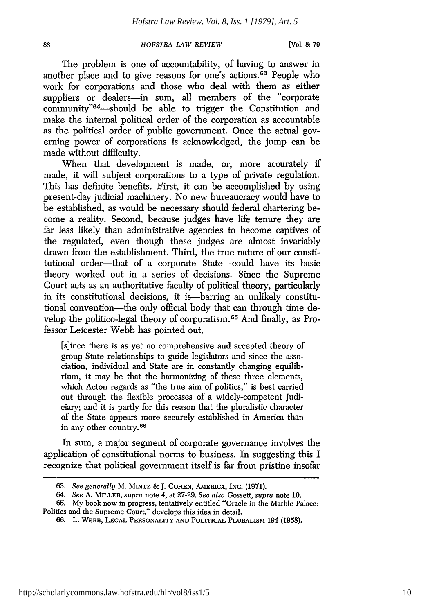The problem is one of accountability, of having to answer in another place and to give reasons for one's actions. 63 People who work for corporations and those who deal with them as either suppliers or dealers-in sum, all members of the "corporate community"<sup>64</sup>—should be able to trigger the Constitution and make the internal political order of the corporation as accountable as the political order of public government. Once the actual governing power of corporations is acknowledged, the jump can be made without difficulty.

When that development is made, or, more accurately if made, it will subject corporations to a type of private regulation. This has definite benefits. First, it can be accomplished by using present-day judicial machinery. No new bureaucracy would have to be established, as would be necessary should federal chartering become a reality. Second, because judges have life tenure they are far less likely than administrative agencies to become captives of the regulated, even though these judges are almost invariably drawn from the establishment. Third, the true nature of our constitutional order-that of a corporate State-could have its basic theory worked out in a series of decisions. Since the Supreme Court acts as an authoritative faculty of political theory, particularly in its constitutional decisions, it is—barring an unlikely constitutional convention-the only official body that can through time develop the politico-legal theory of corporatism. 65 And finally, as Professor Leicester Webb has pointed out,

[s]ince there is as yet no comprehensive and accepted theory of group-State relationships to guide legislators and since the association, individual and State are in constantly changing equilibrium, it may be that the harmonizing of these three elements, which Acton regards as "the true aim of politics," is best carried out through the flexible processes of a widely-competent judiciary; and it is partly for this reason that the pluralistic character of the State appears more securely established in America than in any other country.66

In sum, a major segment of corporate governance involves the application of constitutional norms to business. In suggesting this I recognize that political government itself is far from pristine insofar

<sup>63.</sup> *See generally* M. MINTZ & **J. COHEN,** AiERICA, INC. (1971).

<sup>64.</sup> *See* A. MILLER, supra note 4, at 27-29. *See also* Gossett, *supra* note 10.

<sup>65.</sup> My book now in progress, tentatively entitled "Oracle in the Marble Palace: Politics and the Supreme Court," develops this idea in detail.

<sup>66.</sup> L. **WEBB, LEGAL PERSONALITY AND POLITICAL PLURALISM** 194 **(1958).**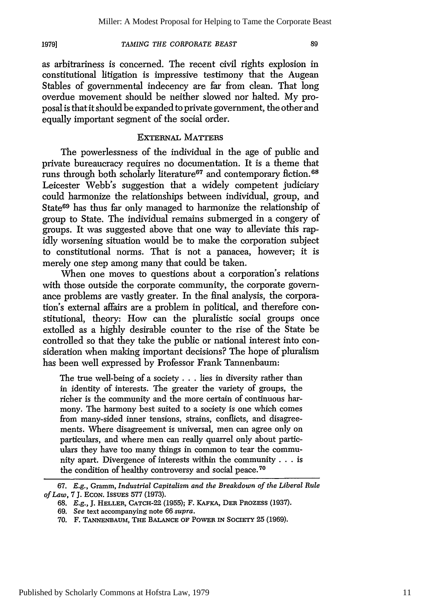as arbitrariness is concerned. The recent civil rights explosion in constitutional litigation is impressive testimony that the Augean Stables of governmental indecency are far from clean. That long overdue movement should be neither slowed nor halted. My proposal is that it should be expanded to private government, the other and equally important segment of the social order.

### EXTERNAL MATTERS

The powerlessness of the individual in the age of public and private bureaucracy requires no documentation. It is a theme that runs through both scholarly literature<sup>67</sup> and contemporary fiction.<sup>68</sup> Leicester Webb's suggestion that a widely competent judiciary could harmonize the relationships between individual, group, and State<sup>69</sup> has thus far only managed to harmonize the relationship of group to State. The individual remains submerged in a congery of groups. It was suggested above that one way to alleviate this rapidly worsening situation would be to make the corporation subject to constitutional norms. That is not a panacea, however; it is merely one step among many that could be taken.

When one moves to questions about a corporation's relations with those outside the corporate community, the corporate governance problems are vastly greater. In the final analysis, the corporation's external affairs are a problem in political, and therefore constitutional, theory: How can the pluralistic social groups once extolled as a highly desirable counter to the rise of the State be controlled so that they take the public or national interest into consideration when making important decisions? The hope of pluralism has been well expressed by Professor Frank Tannenbaum:

The true well-being of a society **...** lies in diversity rather than in identity of interests. The greater the variety of groups, the richer is the community and the more certain of continuous harmony. The harmony best suited to a society is one which comes from many-sided inner tensions, strains, conflicts, and disagreements. Where disagreement is universal, men can agree only on particulars, and where men can really quarrel only about particulars they have too many things in common to tear the community apart. Divergence of interests within the community **...** is the condition of healthy controversy and social peace.70

<sup>67.</sup> *E.g.,* Gramm, *Industrial Capitalism and the Breakdown of the Liberal Rule of Law,* 7 J. **ECON.** ISSUES 577 (1973).

<sup>68.</sup> E.g., J. **HELLER,** CATCH-22 (1955); F. KAFKA, **DER** PROZESS (1937).

<sup>69.</sup> *See* text accompanying note 66 *supra.*

**<sup>70.</sup>** F. **TANNENBAUM, THE BALANCE OF POWER IN SOCIETY 25** (1969).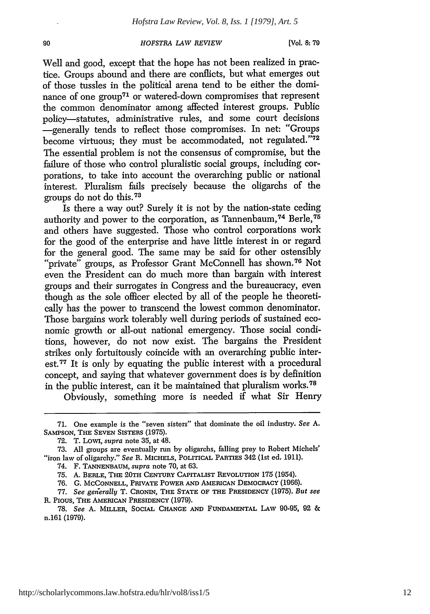90

Well and good, except that the hope has not been realized in practice. Groups abound and there are conflicts, but what emerges out of those tussles in the political arena tend to be either the dominance of one group<sup>71</sup> or watered-down compromises that represent the common denominator among affected interest groups. Public policy-statutes, administrative rules, and some court decisions -generally tends to reflect those compromises. In net: "Groups become virtuous; they must be accommodated, not regulated."72 The essential problem is not the consensus of compromise, but the failure of those who control pluralistic social groups, including corporations, to take into account the overarching public or national interest. Pluralism fails precisely because the oligarchs of the groups do not do this. 73

Is there a way out? Surely it is not by the nation-state ceding authority and power to the corporation, as Tannenbaum, 74 Berle, <sup>75</sup> and others have suggested. Those who control corporations work for the good of the enterprise and have little interest in or regard for the general good. The same may be said for other ostensibly "private" groups, as Professor Grant McConnell has shown.<sup>76</sup> Not even the President can do much more than bargain with interest groups and their surrogates in Congress and the bureaucracy, even though as the sole officer elected by all of the people he theoretically has the power to transcend the lowest common denominator. Those bargains work tolerably well during periods of sustained economic growth or all-out national emergency. Those social conditions, however, do not now exist. The bargains the President strikes only fortuitously coincide with an overarching public interest.<sup>77</sup> It is only by equating the public interest with a procedural concept, and saying that whatever government does is by definition in the public interest, can it be maintained that pluralism works.<sup>78</sup>

Obviously, something more is needed if what Sir Henry

76. G. **MCCONNELL,** PRIVATE POWER **AND** AMERICAN DEMOCRACY (1966).

<sup>71.</sup> One example is the "seven sisters" that dominate the oil industry. *See A.* **SAMPSON,** THE **SEVEN** SISTERS **(1975).**

**<sup>72.</sup>** T. **Lowi,** *supra* note 35, at 48.

<sup>73.</sup> All groups are eventually run by oligarchs, falling prey to Robert Michels' "iron law of oligarchy." *See* R. **MICHELS,** POLITICAL **PARTIES** 342 (1st ed. 1911).

<sup>74.</sup> F. **TANNENBAUM,** *supra* note 70, at 63.

**<sup>75.</sup> A.** BERLE, **THE 20TH CENTURY CAPITALIST REVOLUTION** 175 (1954).

<sup>77.</sup> *See gederally* T. CRONIN, THE **STATE** OF **THE** PRESIDENCY (1975). *But see* R. **PIOUS, THE AMERICAN PRESIDENCY (1979).**

**<sup>78.</sup>** *See* **A.** MILLER, SOCIAL **CHANGE AND FUNDAMENTAL** LAW **90-95,** 92 & n.161 (1979).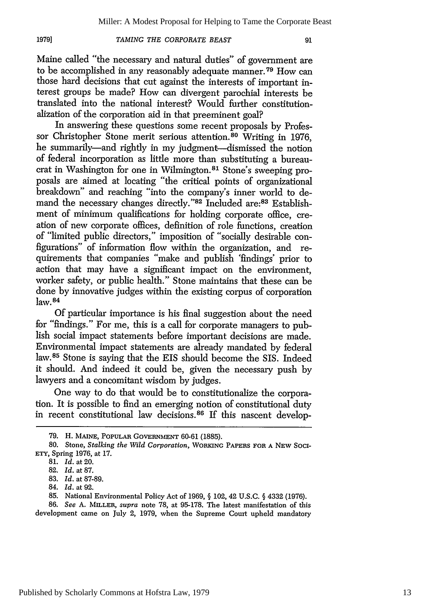**1979]**

#### *TAMING THE CORPORATE BEAST*

Maine called "the necessary and natural duties" of government are to be accomplished in any reasonably adequate manner. 79 How can those hard decisions that cut against the interests of important interest groups be made? How can divergent parochial interests be translated into the national interest? Would further constitutionalization of the corporation aid in that preeminent goal?

In answering these questions some recent proposals by Professor Christopher Stone merit serious attention.<sup>80</sup> Writing in 1976, he summarily-and rightly in my judgment--dismissed the notion of federal incorporation as little more than substituting a bureaucrat in Washington for one in Wilmington.81 Stone's sweeping proposals are aimed at locating "the critical points of organizational breakdown" and reaching "into the company's inner world to demand the necessary changes directly."82 Included are:83 Establishment of minimum qualifications for holding corporate office, creation of new corporate offices, definition of role functions, creation of "limited public directors," imposition of "socially desirable configurations" of information flow within the organization, and requirements that companies "make and publish 'findings' prior to action that may have a significant impact on the environment, worker safety, or public health." Stone maintains that these can be done by innovative judges within the existing corpus of corporation  $law.84$ 

Of particular importance is his final suggestion about the need for "findings." For me, this is a call for corporate managers to publish social impact statements before important decisions are made. Environmental impact statements are already mandated by federal law.<sup>85</sup> Stone is saying that the EIS should become the SIS. Indeed it should. And indeed it could be, given the necessary push by lawyers and a concomitant wisdom by judges.

One way to do that would be to constitutionalize the corporation. It is possible to find an emerging notion of constitutional duty in recent constitutional law decisions.<sup>86</sup> If this nascent develop-

<sup>79.</sup> H. **MAINE,** PoPuLAR GOVERNMENT 60-61 (1885).

<sup>80.</sup> Stone, *Stalking the Wild Corporation,* **WORKING** PAPERS FOR **A NEW SOCI-**ETY, Spring 1976, at 17.

<sup>81.</sup> *Id.* at 20.

<sup>82.</sup> *Id.* at 87.

<sup>83.</sup> *Id.* at 87-89.

<sup>84.</sup> *Id.* at 92.

<sup>85.</sup> National Environmental Policy Act of 1969, **§** 102, 42 U.S.C. § 4332 (1976).

<sup>86.</sup> *See* A. **MILLER,** *supra* note 78, at 95-178. The latest manifestation of this development came on July 2, 1979, when the Supreme Court upheld mandatory